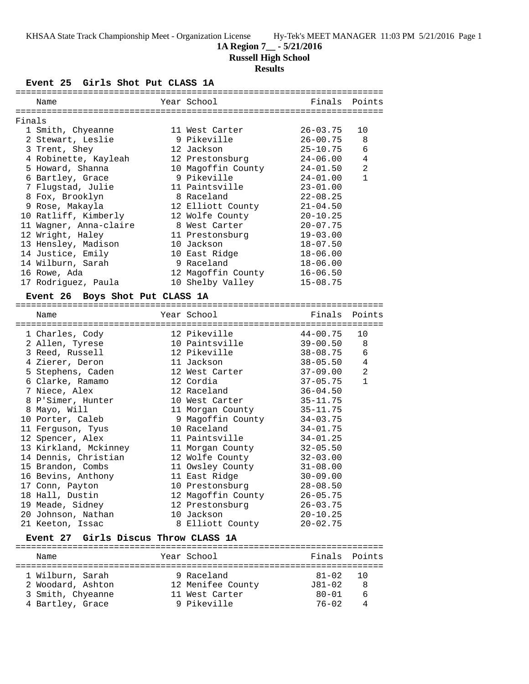### **1A Region 7\_\_ - 5/21/2016**

**Russell High School**

#### **Results**

**Event 25 Girls Shot Put CLASS 1A**

|        | Name                                      | Year School        |              | Finals Points  |
|--------|-------------------------------------------|--------------------|--------------|----------------|
| Finals |                                           |                    |              |                |
|        | 1 Smith, Chyeanne                         | 11 West Carter     | $26 - 03.75$ | 10             |
|        | 2 Stewart, Leslie                         | 9 Pikeville        | $26 - 00.75$ | 8              |
|        | 3 Trent, Shey                             | 12 Jackson         | $25 - 10.75$ | 6              |
|        | 4 Robinette, Kayleah                      | 12 Prestonsburg    | $24 - 06.00$ | $\overline{4}$ |
|        | 5 Howard, Shanna                          | 10 Magoffin County | $24 - 01.50$ | 2              |
|        | 6 Bartley, Grace                          | 9 Pikeville        | $24 - 01.00$ | $\mathbf{1}$   |
|        | 7 Flugstad, Julie                         | 11 Paintsville     | $23 - 01.00$ |                |
|        | 8 Fox, Brooklyn                           | 8 Raceland         | $22 - 08.25$ |                |
|        | 9 Rose, Makayla                           | 12 Elliott County  | $21 - 04.50$ |                |
|        | 10 Ratliff, Kimberly                      | 12 Wolfe County    | $20 - 10.25$ |                |
|        | 11 Wagner, Anna-claire                    | 8 West Carter      | $20 - 07.75$ |                |
|        | 12 Wright, Haley                          | 11 Prestonsburg    | $19 - 03.00$ |                |
|        | 13 Hensley, Madison                       | 10 Jackson         | $18 - 07.50$ |                |
|        | 14 Justice, Emily                         | 10 East Ridge      | $18 - 06.00$ |                |
|        | 14 Wilburn, Sarah                         | 9 Raceland         | $18 - 06.00$ |                |
|        | 16 Rowe, Ada                              | 12 Magoffin County | $16 - 06.50$ |                |
|        | 17 Rodriguez, Paula                       | 10 Shelby Valley   | $15 - 08.75$ |                |
|        | Boys Shot Put CLASS 1A<br><b>Event 26</b> |                    |              |                |
|        | Name                                      | Year School        | Finals       | Points         |
|        |                                           | 12 Pikeville       | $44 - 00.75$ | 10             |
|        | 1 Charles, Cody                           | 10 Paintsville     | $39 - 00.50$ | 8              |
|        | 2 Allen, Tyrese<br>3 Reed, Russell        | 12 Pikeville       | $38 - 08.75$ | 6              |
|        | 4 Zierer, Deron                           | 11 Jackson         | $38 - 05.50$ | 4              |
|        | 5 Stephens, Caden                         | 12 West Carter     | $37 - 09.00$ | $\overline{a}$ |
|        | 6 Clarke, Ramamo                          | 12 Cordia          | $37 - 05.75$ | $\mathbf{1}$   |
|        | 7 Niece, Alex                             | 12 Raceland        | $36 - 04.50$ |                |
|        | 8 P'Simer, Hunter                         | 10 West Carter     | $35 - 11.75$ |                |
|        | 8 Mayo, Will                              | 11 Morgan County   | $35 - 11.75$ |                |
|        | 10 Porter, Caleb                          | 9 Magoffin County  | $34 - 03.75$ |                |
|        | 11 Ferguson, Tyus                         | 10 Raceland        | $34 - 01.75$ |                |
|        | 12 Spencer, Alex                          | 11 Paintsville     | $34 - 01.25$ |                |
|        | 13 Kirkland, Mckinney                     | 11 Morgan County   | $32 - 05.50$ |                |
|        | 14 Dennis, Christian                      | 12 Wolfe County    | $32 - 03.00$ |                |
|        | 15 Brandon, Combs                         | 11 Owsley County   | $31 - 08.00$ |                |
|        | 16 Bevins, Anthony                        | 11 East Ridge      | $30 - 09.00$ |                |
|        | 17 Conn, Payton                           | 10 Prestonsburg    | $28 - 08.50$ |                |
|        | 18 Hall, Dustin                           | 12 Magoffin County | $26 - 05.75$ |                |
|        | 19 Meade, Sidney                          | 12 Prestonsburg    | $26 - 03.75$ |                |
|        | 20 Johnson, Nathan                        | 10 Jackson         | $20 - 10.25$ |                |
|        | 21 Keeton, Issac                          | 8 Elliott County   | $20 - 02.75$ |                |
|        |                                           |                    |              |                |
|        | Event 27 Girls Discus Throw CLASS 1A      |                    |              |                |
|        |                                           |                    |              |                |

 Name Year School Finals Points ======================================================================= 1 Wilburn, Sarah 9 Raceland 81-02 10 2 Woodard, Ashton 12 Menifee County J81-02 8 3 Smith, Chyeanne 11 West Carter 80-01 6 4 Bartley, Grace 9 Pikeville 76-02 4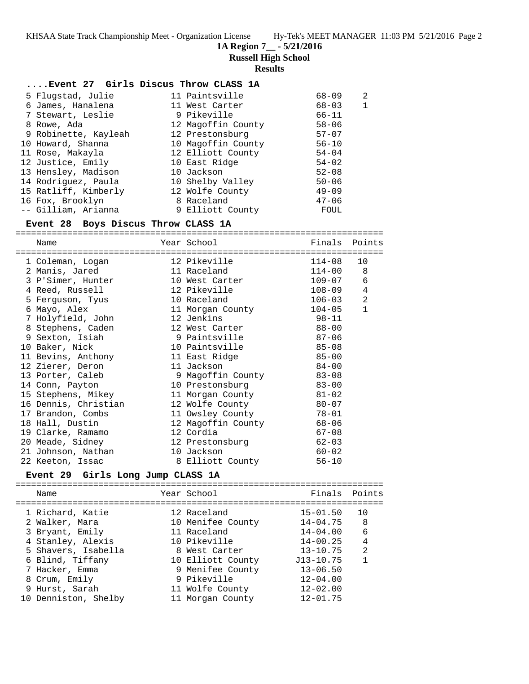**1A Region 7\_\_ - 5/21/2016**

**Russell High School**

#### **Results**

| Event 27 Girls Discus Throw CLASS 1A |  |  |  |
|--------------------------------------|--|--|--|
|                                      |  |  |  |

- 5 Flugstad, Julie 11 Paintsville 68-09 2 6 James, Hanalena 11 West Carter 68-03 1 7 Stewart, Leslie 9 Pikeville 66-11 8 Rowe, Ada 12 Magoffin County 58-06
- 9 Robinette, Kayleah 12 Prestonsburg 57-07 10 Howard, Shanna 10 Magoffin County 56-10 11 Rose, Makayla 12 Elliott County 54-04 12 Justice, Emily 10 East Ridge 54-02 13 Hensley, Madison 10 Jackson 52-08 14 Rodriguez, Paula 10 Shelby Valley 50-06 15 Ratliff, Kimberly 12 Wolfe County 49-09 16 Fox, Brooklyn 8 Raceland 47-06
- -- Gilliam, Arianna 9 Elliott County FOUL

#### **Event 28 Boys Discus Throw CLASS 1A**

======================================================================= Name Year School Finals Points ======================================================================= 1 Coleman, Logan 12 Pikeville 114-08 10 2 Manis, Jared 11 Raceland 114-00 8 3 P'Simer, Hunter 10 West Carter 109-07 6 4 Reed, Russell 12 Pikeville 108-09 4 5 Ferguson, Tyus 10 Raceland 106-03 2 6 Mayo, Alex 11 Morgan County 104-05 1 7 Holyfield, John 12 Jenkins 98-11 8 Stephens, Caden 12 West Carter 88-00 9 Sexton, Isiah 9 Paintsville 87-06 10 Baker, Nick 10 Paintsville 85-08 11 Bevins, Anthony 11 East Ridge 85-00 12 Zierer, Deron 11 Jackson 84-00 13 Porter, Caleb 9 Magoffin County 83-08 14 Conn, Payton 10 Prestonsburg 83-00 15 Stephens, Mikey 11 Morgan County 81-02 16 Dennis, Christian 12 Wolfe County 80-07 17 Brandon, Combs 11 Owsley County 78-01 18 Hall, Dustin 12 Magoffin County 68-06 19 Clarke, Ramamo 12 Cordia 67-08 20 Meade, Sidney 12 Prestonsburg 62-03 21 Johnson, Nathan 10 Jackson 60-02 22 Keeton, Issac 8 Elliott County 56-10

#### **Event 29 Girls Long Jump CLASS 1A**

======================================================================= Name The Year School The Finals Points ======================================================================= 1 Richard, Katie 12 Raceland 15-01.50 10 2 Walker, Mara 10 Menifee County 14-04.75 8 3 Bryant, Emily 11 Raceland 14-04.00 6 4 Stanley, Alexis 10 Pikeville 14-00.25 4 5 Shavers, Isabella 8 West Carter 13-10.75 2 6 Blind, Tiffany 10 Elliott County J13-10.75 1 7 Hacker, Emma 9 Menifee County 13-06.50 8 Crum, Emily 9 Pikeville 12-04.00 9 Hurst, Sarah 11 Wolfe County 12-02.00 10 Denniston, Shelby 11 Morgan County 12-01.75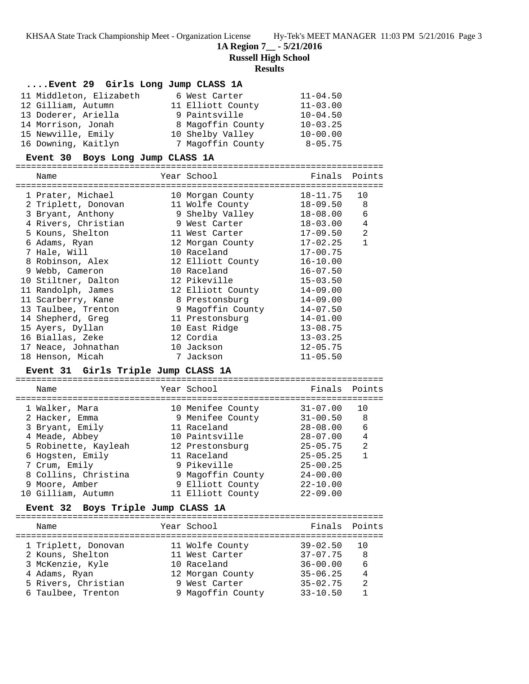**1A Region 7\_\_ - 5/21/2016**

**Russell High School**

## **Results**

| Event 29 Girls Long Jump CLASS 1A |                   |              |
|-----------------------------------|-------------------|--------------|
| 11 Middleton, Elizabeth           | 6 West Carter     | $11 - 04.50$ |
| 12 Gilliam, Autumn                | 11 Elliott County | $11 - 03.00$ |
| 13 Doderer, Ariella               | 9 Paintsville     | $10 - 04.50$ |
| 14 Morrison, Jonah                | 8 Magoffin County | $10 - 03.25$ |
| 15 Newville, Emily                | 10 Shelby Valley  | $10 - 00.00$ |
| 16 Downing, Kaitlyn               | 7 Magoffin County | $8 - 05.75$  |

#### **Event 30 Boys Long Jump CLASS 1A**

=======================================================================

| Name                                | Year School       | Finals       | Points         |
|-------------------------------------|-------------------|--------------|----------------|
|                                     |                   |              |                |
| 1 Prater, Michael                   | 10 Morgan County  | $18 - 11.75$ | 10             |
| 2 Triplett, Donovan                 | 11 Wolfe County   | $18 - 09.50$ | 8              |
| 3 Bryant, Anthony                   | 9 Shelby Valley   | $18 - 08.00$ | 6              |
| 4 Rivers, Christian                 | 9 West Carter     | $18 - 03.00$ | 4              |
| 5 Kouns, Shelton                    | 11 West Carter    | $17 - 09.50$ | 2              |
| 6 Adams, Ryan                       | 12 Morgan County  | $17 - 02.25$ | $\mathbf{1}$   |
| 7 Hale, Will                        | 10 Raceland       | $17 - 00.75$ |                |
| 8 Robinson, Alex                    | 12 Elliott County | $16 - 10.00$ |                |
| 9 Webb, Cameron                     | 10 Raceland       | $16 - 07.50$ |                |
| 10 Stiltner, Dalton                 | 12 Pikeville      | $15 - 03.50$ |                |
| 11 Randolph, James                  | 12 Elliott County | $14 - 09.00$ |                |
| 11 Scarberry, Kane                  | 8 Prestonsburg    | $14 - 09.00$ |                |
| 13 Taulbee, Trenton                 | 9 Magoffin County | $14 - 07.50$ |                |
| 14 Shepherd, Greg                   | 11 Prestonsburg   | $14 - 01.00$ |                |
| 15 Ayers, Dyllan                    | 10 East Ridge     | $13 - 08.75$ |                |
| 16 Biallas, Zeke                    | 12 Cordia         | $13 - 03.25$ |                |
| 17 Neace, Johnathan                 | 10 Jackson        | $12 - 05.75$ |                |
| 18 Henson, Micah                    | 7 Jackson         | $11 - 05.50$ |                |
| Event 31 Girls Triple Jump CLASS 1A |                   |              |                |
|                                     |                   |              |                |
| Name                                | Year School       | Finals       | Points         |
|                                     |                   |              |                |
| 1 Walker, Mara                      | 10 Menifee County | $31 - 07.00$ | 10             |
| 2 Hacker, Emma                      | 9 Menifee County  | $31 - 00.50$ | 8              |
| 3 Bryant, Emily                     | 11 Raceland       | $28 - 08.00$ | 6              |
| 4 Meade, Abbey                      | 10 Paintsville    | $28 - 07.00$ | $\overline{4}$ |
| 5 Robinette, Kayleah                | 12 Prestonsburg   | $25 - 05.75$ | $\overline{2}$ |
| 6 Hogsten, Emily                    | 11 Raceland       | $25 - 05.25$ | $\mathbf{1}$   |
| 7 Crum, Emily                       | 9 Pikeville       | $25 - 00.25$ |                |
| 8 Collins, Christina                | 9 Magoffin County | $24 - 00.00$ |                |

#### **Event 32 Boys Triple Jump CLASS 1A**

| Name                | Year School       | Finals Points |                |
|---------------------|-------------------|---------------|----------------|
| 1 Triplett, Donovan | 11 Wolfe County   | $39 - 02.50$  | 1 O            |
| 2 Kouns, Shelton    | 11 West Carter    | $37 - 07.75$  | 8              |
| 3 McKenzie, Kyle    | 10 Raceland       | $36 - 00.00$  | 6              |
| 4 Adams, Ryan       | 12 Morgan County  | $35 - 06.25$  | $\overline{4}$ |
| 5 Rivers, Christian | 9 West Carter     | $35 - 02.75$  | $\mathfrak{D}$ |
| 6 Taulbee, Trenton  | 9 Magoffin County | $33 - 10.50$  |                |
|                     |                   |               |                |

 9 Moore, Amber 9 Elliott County 22-10.00 10 Gilliam, Autumn 11 Elliott County 22-09.00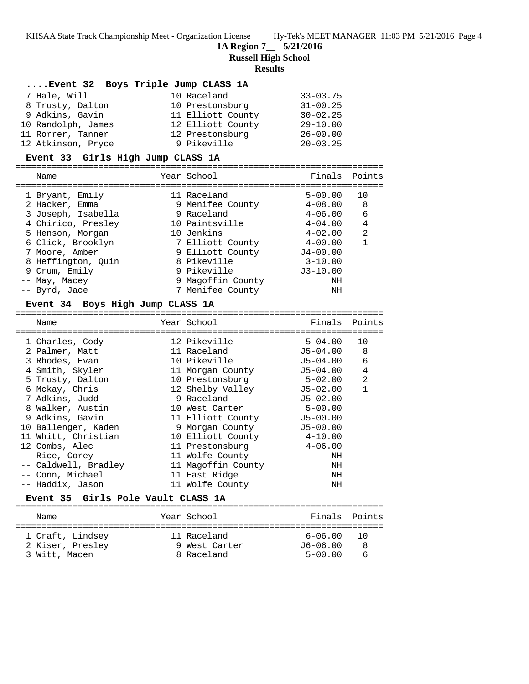**1A Region 7\_\_ - 5/21/2016**

**Russell High School**

#### **Results**

| Event 32 Boys Triple Jump CLASS 1A |                   |               |           |  |  |
|------------------------------------|-------------------|---------------|-----------|--|--|
| 7 Hale, Will                       | 10 Raceland       | $33 - 03.75$  |           |  |  |
| 8 Trusty, Dalton                   | 10 Prestonsburg   | $31 - 00.25$  |           |  |  |
| 9 Adkins, Gavin                    | 11 Elliott County | $30 - 02.25$  |           |  |  |
| 10 Randolph, James                 | 12 Elliott County | $29 - 10.00$  |           |  |  |
| 11 Rorrer, Tanner                  | 12 Prestonsburg   | $26 - 00.00$  |           |  |  |
| 12 Atkinson, Pryce                 | 9 Pikeville       | $20 - 03.25$  |           |  |  |
| Event 33 Girls High Jump CLASS 1A  |                   |               |           |  |  |
| Name                               | Year School       | Finals Points |           |  |  |
| 1 Rryant Fmily                     | 11 Pacaland       | 5-00 00       | <u>າດ</u> |  |  |

| 1 Bryant, Emily    | 11 Raceland       | $5 - 00.00$  | 10 |
|--------------------|-------------------|--------------|----|
| 2 Hacker, Emma     | 9 Menifee County  | $4 - 08.00$  | 8  |
| 3 Joseph, Isabella | 9 Raceland        | $4 - 06.00$  | 6  |
| 4 Chirico, Presley | 10 Paintsville    | $4 - 04.00$  | 4  |
| 5 Henson, Morgan   | 10 Jenkins        | $4 - 02.00$  | 2  |
| 6 Click, Brooklyn  | 7 Elliott County  | $4 - 00.00$  |    |
| 7 Moore, Amber     | 9 Elliott County  | $J4 - 00.00$ |    |
| 8 Heffington, Ouin | 8 Pikeville       | $3 - 10.00$  |    |
| 9 Crum, Emily      | 9 Pikeville       | $J3 - 10.00$ |    |
| -- May, Macey      | 9 Magoffin County | NH           |    |
| -- Byrd, Jace      | 7 Menifee County  | ΝH           |    |

#### **Event 34 Boys High Jump CLASS 1A**

| Name                               | Year School               | Finals Points |                |
|------------------------------------|---------------------------|---------------|----------------|
| 1 Charles, Cody                    | 12 Pikeville              | $5 - 04.00$   | 1 O            |
| 2 Palmer, Matt                     | 11 Raceland               | J5-04.00      | 8              |
| 3 Rhodes, Evan                     | 10 Pikeville              | J5-04.00      | 6              |
| 4 Smith, Skyler                    | 11 Morgan County          | J5-04.00      | 4              |
| 5 Trusty, Dalton                   | 10 Prestonsburg           | 5-02.00       | $\overline{2}$ |
| 6 Mckay, Chris                     | 12 Shelby Valley          | J5-02.00      | $\mathbf{1}$   |
| 7 Adkins, Judd                     | 9 Raceland                | $J5 - 02.00$  |                |
| 8 Walker, Austin                   | 10 West Carter 5-00.00    |               |                |
| 9 Adkins, Gavin                    | 11 Elliott County         | $J5 - 00.00$  |                |
| 10 Ballenger, Kaden                | 9 Morgan County           | $J5 - 00.00$  |                |
| 11 Whitt, Christian                | 10 Elliott County 4-10.00 |               |                |
| 12 Combs, Alec                     |                           |               |                |
| -- Rice, Corey                     | 11 Wolfe County           | ΝH            |                |
| -- Caldwell, Bradley               | 11 Magoffin County        | ΝH            |                |
| -- Conn, Michael                   | 11 East Ridge             | NH            |                |
| -- Haddix, Jason                   | 11 Wolfe County           | ΝH            |                |
| Event 35 Girls Pole Vault CLASS 1A |                           |               |                |
| Name                               | Year School               | Finals        | Points         |
|                                    |                           |               |                |

 1 Craft, Lindsey 11 Raceland 6-06.00 10 2 Kiser, Presley 9 West Carter J6-06.00 8 3 Witt, Macen 8 Raceland 5-00.00 6